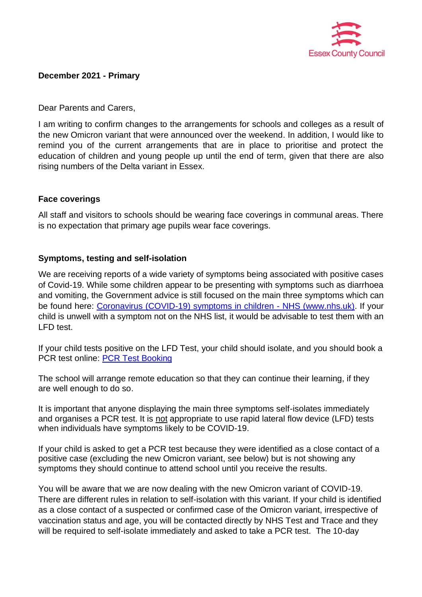

## **December 2021 - Primary**

Dear Parents and Carers,

I am writing to confirm changes to the arrangements for schools and colleges as a result of the new Omicron variant that were announced over the weekend. In addition, I would like to remind you of the current arrangements that are in place to prioritise and protect the education of children and young people up until the end of term, given that there are also rising numbers of the Delta variant in Essex.

# **Face coverings**

All staff and visitors to schools should be wearing face coverings in communal areas. There is no expectation that primary age pupils wear face coverings.

# **Symptoms, testing and self-isolation**

We are receiving reports of a wide variety of symptoms being associated with positive cases of Covid-19. While some children appear to be presenting with symptoms such as diarrhoea and vomiting, the Government advice is still focused on the main three symptoms which can be found here: [Coronavirus \(COVID-19\) symptoms in children -](https://www.nhs.uk/conditions/coronavirus-covid-19/symptoms/coronavirus-in-children/) NHS (www.nhs.uk). If your child is unwell with a symptom not on the NHS list, it would be advisable to test them with an LFD test.

If your child tests positive on the LFD Test, your child should isolate, and you should book a PCR test online: [PCR Test Booking](https://www.gov.uk/get-coronavirus-test)

The school will arrange remote education so that they can continue their learning, if they are well enough to do so.

It is important that anyone displaying the main three symptoms self-isolates immediately and organises a PCR test. It is not appropriate to use rapid lateral flow device (LFD) tests when individuals have symptoms likely to be COVID-19.

If your child is asked to get a PCR test because they were identified as a close contact of a positive case (excluding the new Omicron variant, see below) but is not showing any symptoms they should continue to attend school until you receive the results.

You will be aware that we are now dealing with the new Omicron variant of COVID-19. There are different rules in relation to self-isolation with this variant. If your child is identified as a close contact of a suspected or confirmed case of the Omicron variant, irrespective of vaccination status and age, you will be contacted directly by NHS Test and Trace and they will be required to self-isolate immediately and asked to take a PCR test. The 10-day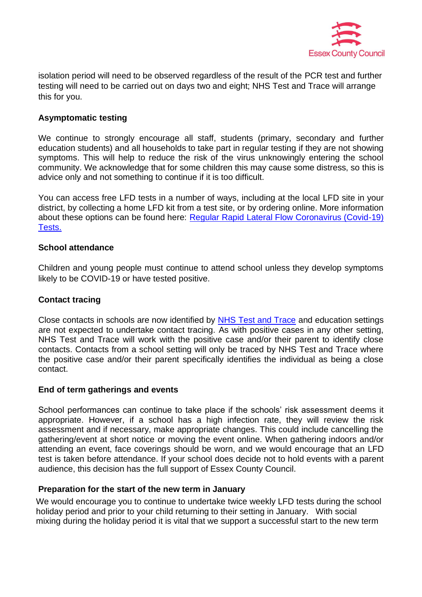

isolation period will need to be observed regardless of the result of the PCR test and further testing will need to be carried out on days two and eight; NHS Test and Trace will arrange this for you.

# **Asymptomatic testing**

We continue to strongly encourage all staff, students (primary, secondary and further education students) and all households to take part in regular testing if they are not showing symptoms. This will help to reduce the risk of the virus unknowingly entering the school community. We acknowledge that for some children this may cause some distress, so this is advice only and not something to continue if it is too difficult.

You can access free LFD tests in a number of ways, including at the local LFD site in your district, by collecting a home LFD kit from a test site, or by ordering online. More information about these options can be found here: Regular Rapid Lateral Flow Coronavirus (Covid-19) [Tests.](https://www.nhs.uk/conditions/coronavirus-covid-19/testing/regular-rapid-coronavirus-tests-if-you-do-not-have-symptoms/)

### **School attendance**

Children and young people must continue to attend school unless they develop symptoms likely to be COVID-19 or have tested positive.

### **Contact tracing**

Close contacts in schools are now identified by [NHS Test and Trace](https://www.gov.uk/guidance/nhs-test-and-trace-how-it-works) and education settings are not expected to undertake contact tracing. As with positive cases in any other setting, NHS Test and Trace will work with the positive case and/or their parent to identify close contacts. Contacts from a school setting will only be traced by NHS Test and Trace where the positive case and/or their parent specifically identifies the individual as being a close contact.

### **End of term gatherings and events**

School performances can continue to take place if the schools' risk assessment deems it appropriate. However, if a school has a high infection rate, they will review the risk assessment and if necessary, make appropriate changes. This could include cancelling the gathering/event at short notice or moving the event online. When gathering indoors and/or attending an event, face coverings should be worn, and we would encourage that an LFD test is taken before attendance. If your school does decide not to hold events with a parent audience, this decision has the full support of Essex County Council.

### **Preparation for the start of the new term in January**

We would encourage you to continue to undertake twice weekly LFD tests during the school holiday period and prior to your child returning to their setting in January. With social mixing during the holiday period it is vital that we support a successful start to the new term